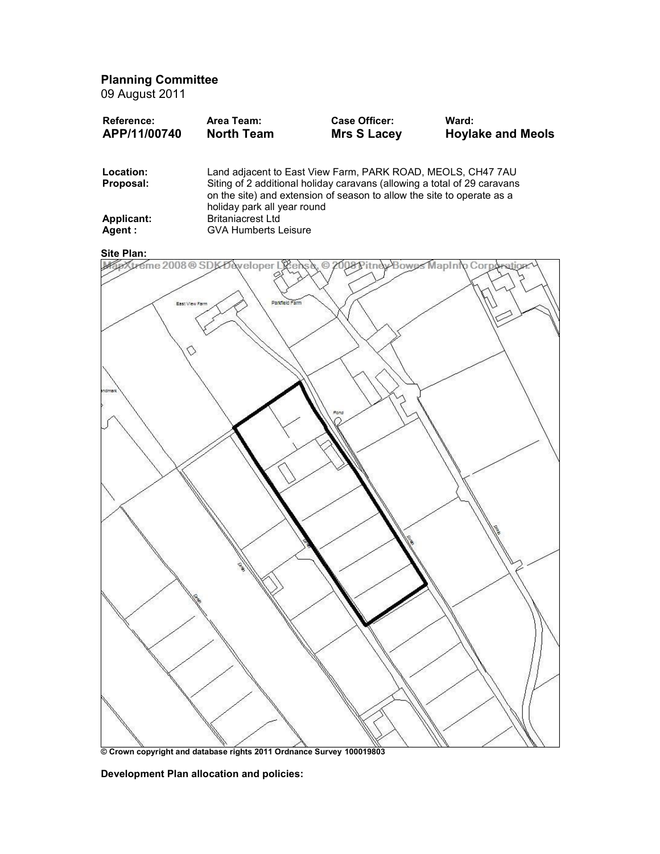Planning Committee

09 August 2011

| <b>Reference:</b> | Area Team:        | <b>Case Officer:</b> | Ward:                    |
|-------------------|-------------------|----------------------|--------------------------|
| APP/11/00740      | <b>North Team</b> | <b>Mrs S Lacey</b>   | <b>Hoylake and Meols</b> |
|                   |                   |                      |                          |

| Location:  | Land adjacent to East View Farm, PARK ROAD, MEOLS, CH47 7AU                                                                                                                       |
|------------|-----------------------------------------------------------------------------------------------------------------------------------------------------------------------------------|
| Proposal:  | Siting of 2 additional holiday caravans (allowing a total of 29 caravans<br>on the site) and extension of season to allow the site to operate as a<br>holiday park all year round |
| Applicant: | <b>Britaniacrest Ltd</b>                                                                                                                                                          |
| Agent :    | <b>GVA Humberts Leisure</b>                                                                                                                                                       |



© Crown copyright and database rights 2011 Ordnance Survey 100019803

Development Plan allocation and policies: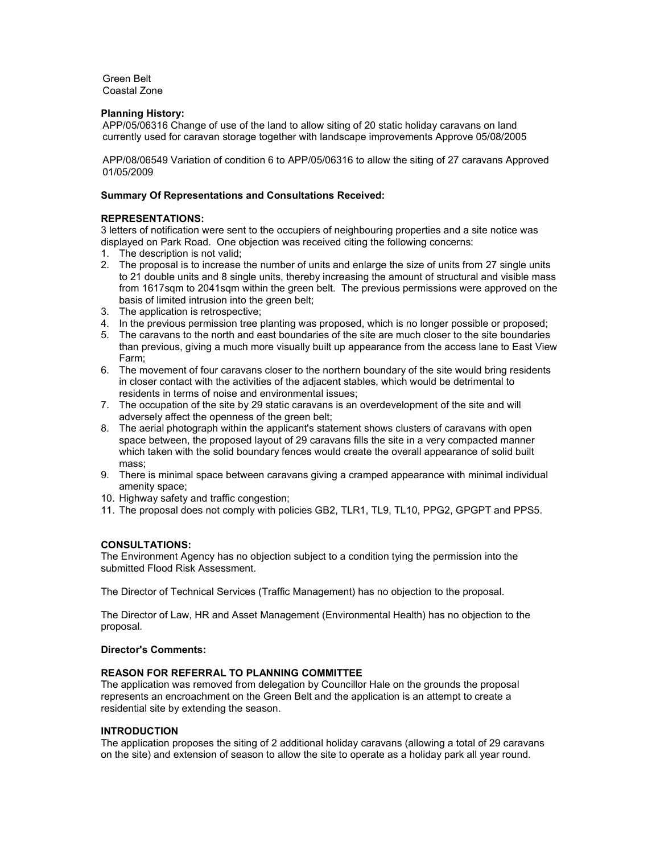Green Belt Coastal Zone

## Planning History:

APP/05/06316 Change of use of the land to allow siting of 20 static holiday caravans on land currently used for caravan storage together with landscape improvements Approve 05/08/2005

APP/08/06549 Variation of condition 6 to APP/05/06316 to allow the siting of 27 caravans Approved 01/05/2009

# Summary Of Representations and Consultations Received:

# REPRESENTATIONS:

3 letters of notification were sent to the occupiers of neighbouring properties and a site notice was displayed on Park Road. One objection was received citing the following concerns:

- 1. The description is not valid;
- 2. The proposal is to increase the number of units and enlarge the size of units from 27 single units to 21 double units and 8 single units, thereby increasing the amount of structural and visible mass from 1617sqm to 2041sqm within the green belt. The previous permissions were approved on the basis of limited intrusion into the green belt;
- 3. The application is retrospective;
- 4. In the previous permission tree planting was proposed, which is no longer possible or proposed;
- 5. The caravans to the north and east boundaries of the site are much closer to the site boundaries than previous, giving a much more visually built up appearance from the access lane to East View Farm;
- 6. The movement of four caravans closer to the northern boundary of the site would bring residents in closer contact with the activities of the adjacent stables, which would be detrimental to residents in terms of noise and environmental issues;
- 7. The occupation of the site by 29 static caravans is an overdevelopment of the site and will adversely affect the openness of the green belt;
- 8. The aerial photograph within the applicant's statement shows clusters of caravans with open space between, the proposed layout of 29 caravans fills the site in a very compacted manner which taken with the solid boundary fences would create the overall appearance of solid built mass;
- 9. There is minimal space between caravans giving a cramped appearance with minimal individual amenity space;
- 10. Highway safety and traffic congestion;
- 11. The proposal does not comply with policies GB2, TLR1, TL9, TL10, PPG2, GPGPT and PPS5.

# CONSULTATIONS:

The Environment Agency has no objection subject to a condition tying the permission into the submitted Flood Risk Assessment.

The Director of Technical Services (Traffic Management) has no objection to the proposal.

The Director of Law, HR and Asset Management (Environmental Health) has no objection to the proposal.

# Director's Comments:

## REASON FOR REFERRAL TO PLANNING COMMITTEE

The application was removed from delegation by Councillor Hale on the grounds the proposal represents an encroachment on the Green Belt and the application is an attempt to create a residential site by extending the season.

## INTRODUCTION

The application proposes the siting of 2 additional holiday caravans (allowing a total of 29 caravans on the site) and extension of season to allow the site to operate as a holiday park all year round.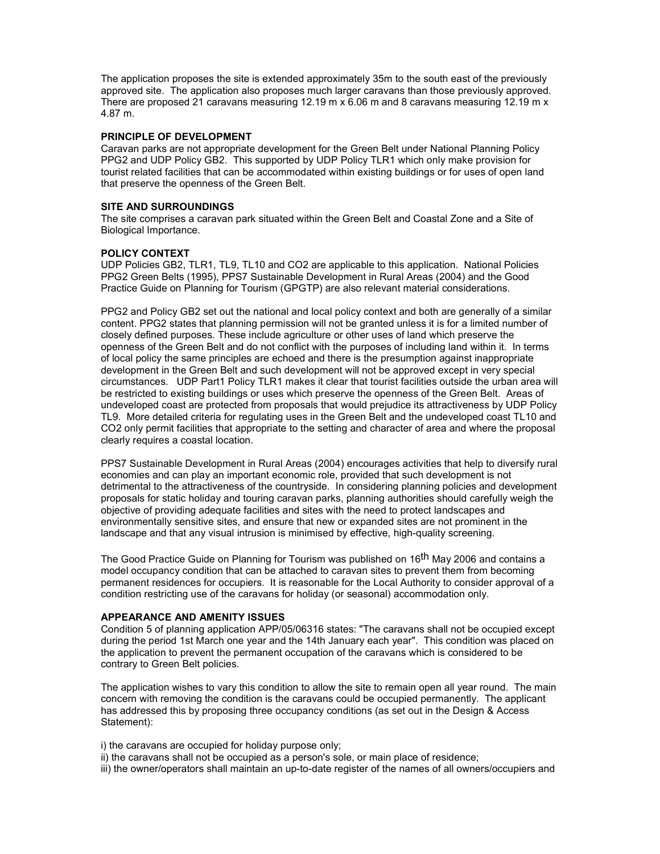The application proposes the site is extended approximately 35m to the south east of the previously approved site. The application also proposes much larger caravans than those previously approved. There are proposed 21 caravans measuring 12.19 m x 6.06 m and 8 caravans measuring 12.19 m x 4.87 m.

## PRINCIPLE OF DEVELOPMENT

Caravan parks are not appropriate development for the Green Belt under National Planning Policy PPG2 and UDP Policy GB2. This supported by UDP Policy TLR1 which only make provision for tourist related facilities that can be accommodated within existing buildings or for uses of open land that preserve the openness of the Green Belt.

## SITE AND SURROUNDINGS

The site comprises a caravan park situated within the Green Belt and Coastal Zone and a Site of Biological Importance.

#### POLICY CONTEXT

UDP Policies GB2, TLR1, TL9, TL10 and CO2 are applicable to this application. National Policies PPG2 Green Belts (1995), PPS7 Sustainable Development in Rural Areas (2004) and the Good Practice Guide on Planning for Tourism (GPGTP) are also relevant material considerations.

PPG2 and Policy GB2 set out the national and local policy context and both are generally of a similar content. PPG2 states that planning permission will not be granted unless it is for a limited number of closely defined purposes. These include agriculture or other uses of land which preserve the openness of the Green Belt and do not conflict with the purposes of including land within it. In terms of local policy the same principles are echoed and there is the presumption against inappropriate development in the Green Belt and such development will not be approved except in very special circumstances. UDP Part1 Policy TLR1 makes it clear that tourist facilities outside the urban area will be restricted to existing buildings or uses which preserve the openness of the Green Belt. Areas of undeveloped coast are protected from proposals that would prejudice its attractiveness by UDP Policy TL9. More detailed criteria for regulating uses in the Green Belt and the undeveloped coast TL10 and CO2 only permit facilities that appropriate to the setting and character of area and where the proposal clearly requires a coastal location.

PPS7 Sustainable Development in Rural Areas (2004) encourages activities that help to diversify rural economies and can play an important economic role, provided that such development is not detrimental to the attractiveness of the countryside. In considering planning policies and development proposals for static holiday and touring caravan parks, planning authorities should carefully weigh the objective of providing adequate facilities and sites with the need to protect landscapes and environmentally sensitive sites, and ensure that new or expanded sites are not prominent in the landscape and that any visual intrusion is minimised by effective, high-quality screening.

The Good Practice Guide on Planning for Tourism was published on 16<sup>th</sup> May 2006 and contains a model occupancy condition that can be attached to caravan sites to prevent them from becoming permanent residences for occupiers. It is reasonable for the Local Authority to consider approval of a condition restricting use of the caravans for holiday (or seasonal) accommodation only.

#### APPEARANCE AND AMENITY ISSUES

Condition 5 of planning application APP/05/06316 states: "The caravans shall not be occupied except during the period 1st March one year and the 14th January each year". This condition was placed on the application to prevent the permanent occupation of the caravans which is considered to be contrary to Green Belt policies.

The application wishes to vary this condition to allow the site to remain open all year round. The main concern with removing the condition is the caravans could be occupied permanently. The applicant has addressed this by proposing three occupancy conditions (as set out in the Design & Access Statement):

i) the caravans are occupied for holiday purpose only;

ii) the caravans shall not be occupied as a person's sole, or main place of residence;

iii) the owner/operators shall maintain an up-to-date register of the names of all owners/occupiers and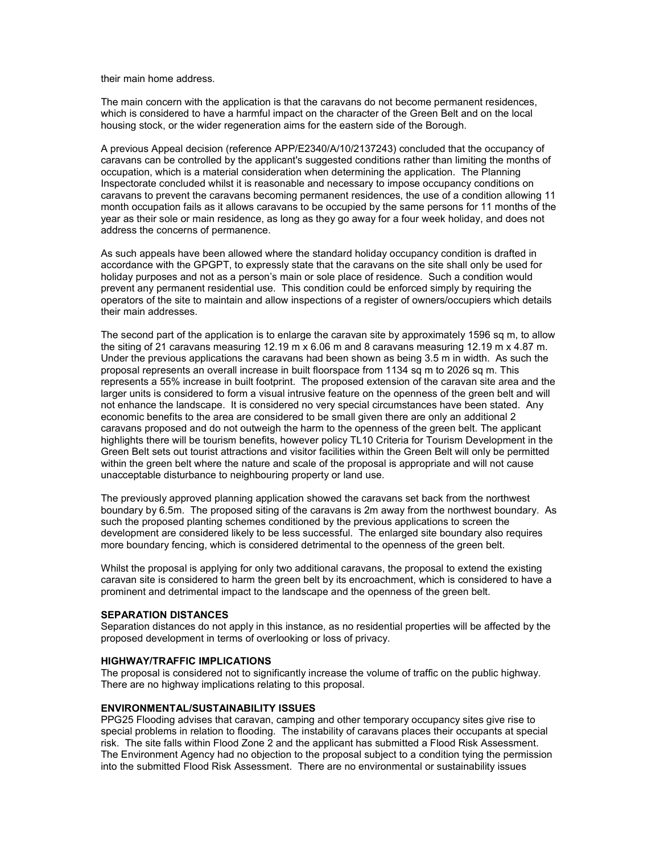their main home address.

The main concern with the application is that the caravans do not become permanent residences, which is considered to have a harmful impact on the character of the Green Belt and on the local housing stock, or the wider regeneration aims for the eastern side of the Borough.

A previous Appeal decision (reference APP/E2340/A/10/2137243) concluded that the occupancy of caravans can be controlled by the applicant's suggested conditions rather than limiting the months of occupation, which is a material consideration when determining the application. The Planning Inspectorate concluded whilst it is reasonable and necessary to impose occupancy conditions on caravans to prevent the caravans becoming permanent residences, the use of a condition allowing 11 month occupation fails as it allows caravans to be occupied by the same persons for 11 months of the year as their sole or main residence, as long as they go away for a four week holiday, and does not address the concerns of permanence.

As such appeals have been allowed where the standard holiday occupancy condition is drafted in accordance with the GPGPT, to expressly state that the caravans on the site shall only be used for holiday purposes and not as a person's main or sole place of residence. Such a condition would prevent any permanent residential use. This condition could be enforced simply by requiring the operators of the site to maintain and allow inspections of a register of owners/occupiers which details their main addresses.

The second part of the application is to enlarge the caravan site by approximately 1596 sq m, to allow the siting of 21 caravans measuring 12.19 m x 6.06 m and 8 caravans measuring 12.19 m x 4.87 m. Under the previous applications the caravans had been shown as being 3.5 m in width. As such the proposal represents an overall increase in built floorspace from 1134 sq m to 2026 sq m. This represents a 55% increase in built footprint. The proposed extension of the caravan site area and the larger units is considered to form a visual intrusive feature on the openness of the green belt and will not enhance the landscape. It is considered no very special circumstances have been stated. Any economic benefits to the area are considered to be small given there are only an additional 2 caravans proposed and do not outweigh the harm to the openness of the green belt. The applicant highlights there will be tourism benefits, however policy TL10 Criteria for Tourism Development in the Green Belt sets out tourist attractions and visitor facilities within the Green Belt will only be permitted within the green belt where the nature and scale of the proposal is appropriate and will not cause unacceptable disturbance to neighbouring property or land use.

The previously approved planning application showed the caravans set back from the northwest boundary by 6.5m. The proposed siting of the caravans is 2m away from the northwest boundary. As such the proposed planting schemes conditioned by the previous applications to screen the development are considered likely to be less successful. The enlarged site boundary also requires more boundary fencing, which is considered detrimental to the openness of the green belt.

Whilst the proposal is applying for only two additional caravans, the proposal to extend the existing caravan site is considered to harm the green belt by its encroachment, which is considered to have a prominent and detrimental impact to the landscape and the openness of the green belt.

#### SEPARATION DISTANCES

Separation distances do not apply in this instance, as no residential properties will be affected by the proposed development in terms of overlooking or loss of privacy.

#### HIGHWAY/TRAFFIC IMPLICATIONS

The proposal is considered not to significantly increase the volume of traffic on the public highway. There are no highway implications relating to this proposal.

#### ENVIRONMENTAL/SUSTAINABILITY ISSUES

PPG25 Flooding advises that caravan, camping and other temporary occupancy sites give rise to special problems in relation to flooding. The instability of caravans places their occupants at special risk. The site falls within Flood Zone 2 and the applicant has submitted a Flood Risk Assessment. The Environment Agency had no objection to the proposal subject to a condition tying the permission into the submitted Flood Risk Assessment. There are no environmental or sustainability issues